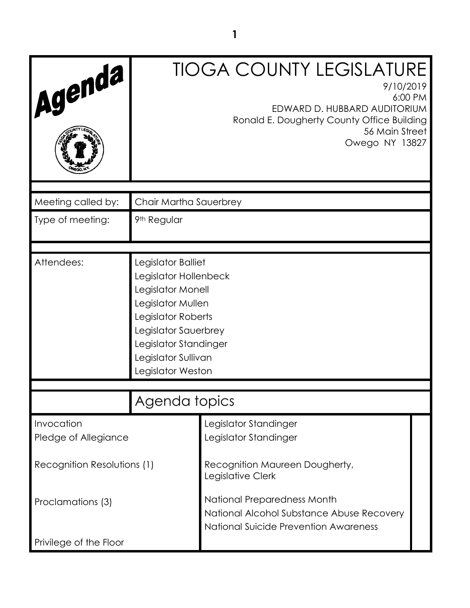| Agenda                             |                                                                                                                                                                                                          | <b>TIOGA COUNTY LEGISLATURE</b><br>9/10/2019<br>6:00 PM<br>EDWARD D. HUBBARD AUDITORIUM<br>Ronald E. Dougherty County Office Building<br>56 Main Street<br>Owego NY 13827 |  |
|------------------------------------|----------------------------------------------------------------------------------------------------------------------------------------------------------------------------------------------------------|---------------------------------------------------------------------------------------------------------------------------------------------------------------------------|--|
| Meeting called by:                 | Chair Martha Sauerbrey                                                                                                                                                                                   |                                                                                                                                                                           |  |
| Type of meeting:                   | 9 <sup>th</sup> Regular                                                                                                                                                                                  |                                                                                                                                                                           |  |
| Attendees:                         | Legislator Balliet<br>Legislator Hollenbeck<br>Legislator Monell<br>Legislator Mullen<br>Legislator Roberts<br>Legislator Sauerbrey<br>Legislator Standinger<br>Legislator Sullivan<br>Legislator Weston |                                                                                                                                                                           |  |
|                                    | Agenda topics                                                                                                                                                                                            |                                                                                                                                                                           |  |
| Invocation<br>Pledge of Allegiance |                                                                                                                                                                                                          | Legislator Standinger<br>Legislator Standinger                                                                                                                            |  |
| Recognition Resolutions (1)        |                                                                                                                                                                                                          | Recognition Maureen Dougherty,<br>Legislative Clerk                                                                                                                       |  |
| Proclamations (3)                  |                                                                                                                                                                                                          | National Preparedness Month<br>National Alcohol Substance Abuse Recovery<br>National Suicide Prevention Awareness                                                         |  |
| Privilege of the Floor             |                                                                                                                                                                                                          |                                                                                                                                                                           |  |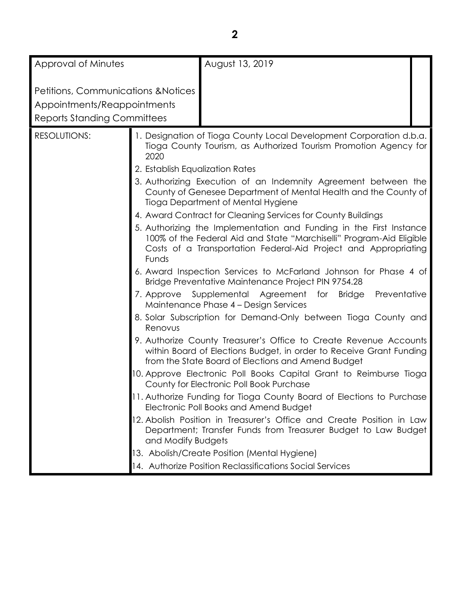|                                                                                                                     |                                         | ◢                                                                                                                                                                                                                                                                                                                                                                                                         |  |
|---------------------------------------------------------------------------------------------------------------------|-----------------------------------------|-----------------------------------------------------------------------------------------------------------------------------------------------------------------------------------------------------------------------------------------------------------------------------------------------------------------------------------------------------------------------------------------------------------|--|
| Approval of Minutes                                                                                                 |                                         | August 13, 2019                                                                                                                                                                                                                                                                                                                                                                                           |  |
| <b>Petitions, Communications &amp; Notices</b><br>Appointments/Reappointments<br><b>Reports Standing Committees</b> |                                         |                                                                                                                                                                                                                                                                                                                                                                                                           |  |
| RESOLUTIONS:                                                                                                        | 2020<br>2. Establish Equalization Rates | 1. Designation of Tioga County Local Development Corporation d.b.a.<br>Tioga County Tourism, as Authorized Tourism Promotion Agency for<br>3. Authorizing Execution of an Indemnity Agreement between the<br>County of Genesee Department of Mental Health and the County of<br>Tioga Department of Mental Hygiene                                                                                        |  |
|                                                                                                                     | Funds                                   | 4. Award Contract for Cleaning Services for County Buildings<br>5. Authorizing the Implementation and Funding in the First Instance<br>100% of the Federal Aid and State "Marchiselli" Program-Aid Eligible<br>Costs of a Transportation Federal-Aid Project and Appropriating<br>6. Award Inspection Services to McFarland Johnson for Phase 4 of<br>Bridge Preventative Maintenance Project PIN 9754.28 |  |

## 7. Approve Supplemental Agreement for Bridge Preventative Maintenance Phase 4 – Design Services

8. Solar Subscription for Demand-Only between Tioga County and Renovus

# 9. Authorize County Treasurer's Office to Create Revenue Accounts within Board of Elections Budget, in order to Receive Grant Funding from the State Board of Elections and Amend Budget

10. Approve Electronic Poll Books Capital Grant to Reimburse Tioga County for Electronic Poll Book Purchase

# 11. Authorize Funding for Tioga County Board of Elections to Purchase Electronic Poll Books and Amend Budget

12. Abolish Position in Treasurer's Office and Create Position in Law Department; Transfer Funds from Treasurer Budget to Law Budget and Modify Budgets

13. Abolish/Create Position (Mental Hygiene)

14. Authorize Position Reclassifications Social Services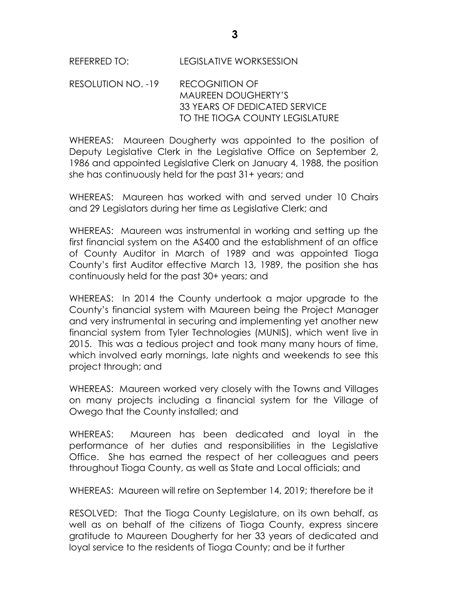|              | <b>LEGISLATIVE WORKSESSION</b> |
|--------------|--------------------------------|
| REFERRED TO: |                                |

RESOLUTION NO. -19 RECOGNITION OF MAUREEN DOUGHERTY'S 33 YEARS OF DEDICATED SERVICE TO THE TIOGA COUNTY LEGISLATURE

WHEREAS: Maureen Dougherty was appointed to the position of Deputy Legislative Clerk in the Legislative Office on September 2, 1986 and appointed Legislative Clerk on January 4, 1988, the position she has continuously held for the past 31+ years; and

WHEREAS: Maureen has worked with and served under 10 Chairs and 29 Legislators during her time as Legislative Clerk; and

WHEREAS: Maureen was instrumental in working and setting up the first financial system on the AS400 and the establishment of an office of County Auditor in March of 1989 and was appointed Tioga County's first Auditor effective March 13, 1989, the position she has continuously held for the past 30+ years; and

WHEREAS: In 2014 the County undertook a major upgrade to the County's financial system with Maureen being the Project Manager and very instrumental in securing and implementing yet another new financial system from Tyler Technologies (MUNIS), which went live in 2015. This was a tedious project and took many many hours of time, which involved early mornings, late nights and weekends to see this project through; and

WHEREAS: Maureen worked very closely with the Towns and Villages on many projects including a financial system for the Village of Owego that the County installed; and

WHEREAS: Maureen has been dedicated and loyal in the performance of her duties and responsibilities in the Legislative Office. She has earned the respect of her colleagues and peers throughout Tioga County, as well as State and Local officials; and

WHEREAS: Maureen will retire on September 14, 2019; therefore be it

RESOLVED: That the Tioga County Legislature, on its own behalf, as well as on behalf of the citizens of Tioga County, express sincere gratitude to Maureen Dougherty for her 33 years of dedicated and loyal service to the residents of Tioga County; and be it further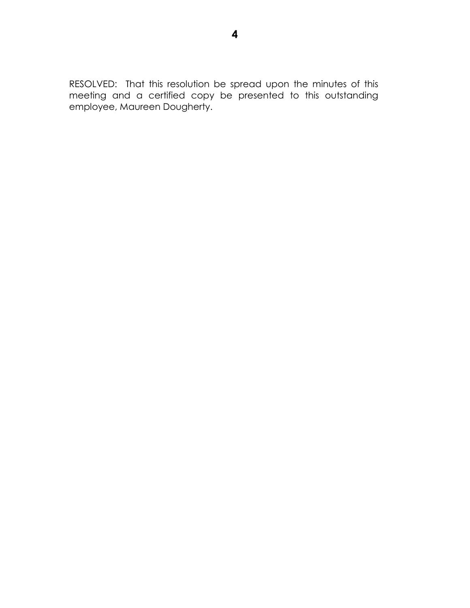RESOLVED: That this resolution be spread upon the minutes of this meeting and a certified copy be presented to this outstanding employee, Maureen Dougherty.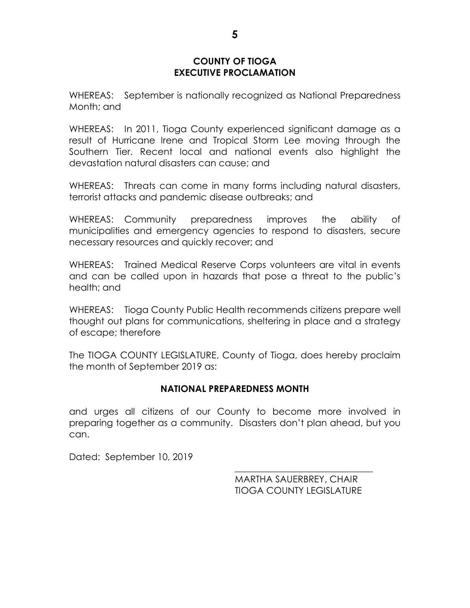### **COUNTY OF TIOGA EXECUTIVE PROCLAMATION**

WHEREAS: September is nationally recognized as National Preparedness Month; and

WHEREAS: In 2011, Tioga County experienced significant damage as a result of Hurricane Irene and Tropical Storm Lee moving through the Southern Tier. Recent local and national events also highlight the devastation natural disasters can cause; and

WHEREAS: Threats can come in many forms including natural disasters, terrorist attacks and pandemic disease outbreaks; and

WHEREAS: Community preparedness improves the ability of municipalities and emergency agencies to respond to disasters, secure necessary resources and quickly recover; and

WHEREAS: Trained Medical Reserve Corps volunteers are vital in events and can be called upon in hazards that pose a threat to the public's health; and

WHEREAS: Tioga County Public Health recommends citizens prepare well thought out plans for communications, sheltering in place and a strategy of escape; therefore

The TIOGA COUNTY LEGISLATURE, County of Tioga, does hereby proclaim the month of September 2019 as:

## **NATIONAL PREPAREDNESS MONTH**

and urges all citizens of our County to become more involved in preparing together as a community. Disasters don't plan ahead, but you can.

Dated: September 10, 2019

MARTHA SAUERBREY, CHAIR TIOGA COUNTY LEGISLATURE

\_\_\_\_\_\_\_\_\_\_\_\_\_\_\_\_\_\_\_\_\_\_\_\_\_\_\_\_\_\_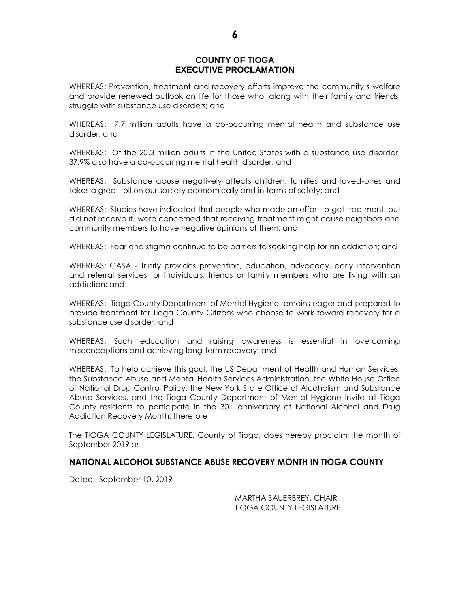#### **COUNTY OF TIOGA EXECUTIVE PROCLAMATION**

WHEREAS: Prevention, treatment and recovery efforts improve the community's welfare and provide renewed outlook on life for those who, along with their family and friends, struggle with substance use disorders; and

WHEREAS: 7.7 million adults have a co-occurring mental health and substance use disorder; and

WHEREAS: Of the 20.3 million adults in the United States with a substance use disorder, 37.9% also have a co-occurring mental health disorder; and

WHEREAS: Substance abuse negatively affects children, families and loved-ones and takes a great toll on our society economically and in terms of safety; and

WHEREAS: Studies have indicated that people who made an effort to get treatment, but did not receive it, were concerned that receiving treatment might cause neighbors and community members to have negative opinions of them; and

WHEREAS: Fear and stigma continue to be barriers to seeking help for an addiction; and

WHEREAS: CASA - Trinity provides prevention, education, advocacy, early intervention and referral services for individuals, friends or family members who are living with an addiction; and

WHEREAS: Tioga County Department of Mental Hygiene remains eager and prepared to provide treatment for Tioga County Citizens who choose to work toward recovery for a substance use disorder; and

WHEREAS: Such education and raising awareness is essential in overcoming misconceptions and achieving long-term recovery; and

WHEREAS: To help achieve this goal, the US Department of Health and Human Services, the Substance Abuse and Mental Health Services Administration, the White House Office of National Drug Control Policy, the New York State Office of Alcoholism and Substance Abuse Services, and the Tioga County Department of Mental Hygiene invite all Tioga County residents to participate in the 30th anniversary of National Alcohol and Drug Addiction Recovery Month; therefore

The TIOGA COUNTY LEGISLATURE, County of Tioga, does hereby proclaim the month of September 2019 as:

#### **NATIONAL ALCOHOL SUBSTANCE ABUSE RECOVERY MONTH IN TIOGA COUNTY**

Dated: September 10, 2019

MARTHA SAUERBREY, CHAIR TIOGA COUNTY LEGISLATURE

\_\_\_\_\_\_\_\_\_\_\_\_\_\_\_\_\_\_\_\_\_\_\_\_\_\_\_\_\_\_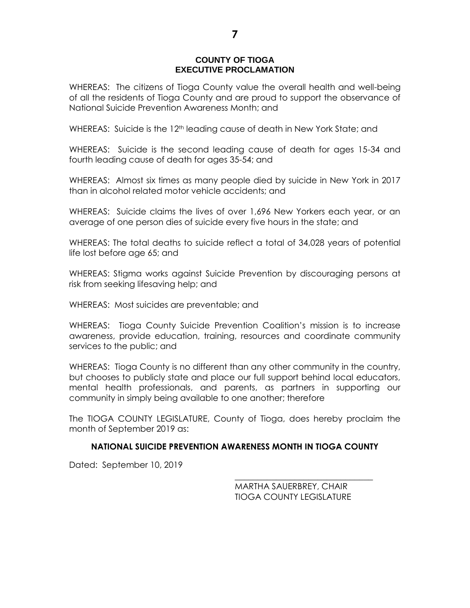#### **COUNTY OF TIOGA EXECUTIVE PROCLAMATION**

WHEREAS: The citizens of Tioga County value the overall health and well-being of all the residents of Tioga County and are proud to support the observance of National Suicide Prevention Awareness Month; and

WHEREAS: Suicide is the 12<sup>th</sup> leading cause of death in New York State; and

WHEREAS: Suicide is the second leading cause of death for ages 15-34 and fourth leading cause of death for ages 35-54; and

WHEREAS: Almost six times as many people died by suicide in New York in 2017 than in alcohol related motor vehicle accidents; and

WHEREAS: Suicide claims the lives of over 1,696 New Yorkers each year, or an average of one person dies of suicide every five hours in the state; and

WHEREAS: The total deaths to suicide reflect a total of 34,028 years of potential life lost before age 65; and

WHEREAS: Stigma works against Suicide Prevention by discouraging persons at risk from seeking lifesaving help; and

WHEREAS: Most suicides are preventable; and

WHEREAS: Tioga County Suicide Prevention Coalition's mission is to increase awareness, provide education, training, resources and coordinate community services to the public; and

WHEREAS: Tioga County is no different than any other community in the country, but chooses to publicly state and place our full support behind local educators, mental health professionals, and parents, as partners in supporting our community in simply being available to one another; therefore

The TIOGA COUNTY LEGISLATURE, County of Tioga, does hereby proclaim the month of September 2019 as:

#### **NATIONAL SUICIDE PREVENTION AWARENESS MONTH IN TIOGA COUNTY**

Dated: September 10, 2019

MARTHA SAUERBREY, CHAIR TIOGA COUNTY LEGISLATURE

\_\_\_\_\_\_\_\_\_\_\_\_\_\_\_\_\_\_\_\_\_\_\_\_\_\_\_\_\_\_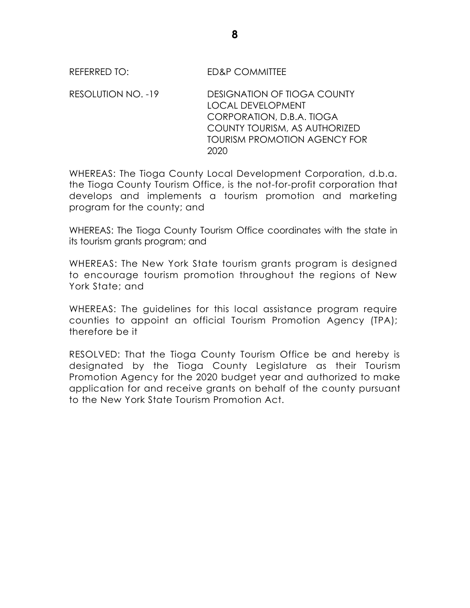REFERRED TO: ED&P COMMITTEE

RESOLUTION NO. -19 DESIGNATION OF TIOGA COUNTY LOCAL DEVELOPMENT CORPORATION, D.B.A. TIOGA COUNTY TOURISM, AS AUTHORIZED TOURISM PROMOTION AGENCY FOR 2020

WHEREAS: The Tioga County Local Development Corporation, d.b.a. the Tioga County Tourism Office, is the not-for-profit corporation that develops and implements a tourism promotion and marketing program for the county; and

WHEREAS: The Tioga County Tourism Office coordinates with the state in its tourism grants program; and

WHEREAS: The New York State tourism grants program is designed to encourage tourism promotion throughout the regions of New York State; and

WHEREAS: The guidelines for this local assistance program require counties to appoint an official Tourism Promotion Agency (TPA); therefore be it

RESOLVED: That the Tioga County Tourism Office be and hereby is designated by the Tioga County Legislature as their Tourism Promotion Agency for the 2020 budget year and authorized to make application for and receive grants on behalf of the county pursuant to the New York State Tourism Promotion Act.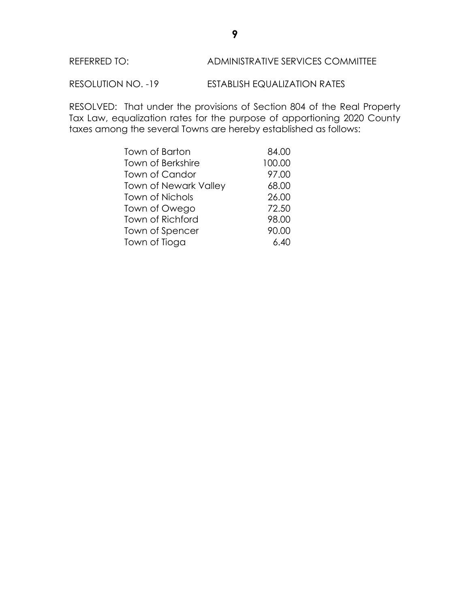# REFERRED TO: ADMINISTRATIVE SERVICES COMMITTEE

RESOLUTION NO. -19 ESTABLISH EQUALIZATION RATES

RESOLVED: That under the provisions of Section 804 of the Real Property Tax Law, equalization rates for the purpose of apportioning 2020 County taxes among the several Towns are hereby established as follows:

| Town of Barton        | 84.00  |
|-----------------------|--------|
| Town of Berkshire     | 100.00 |
| Town of Candor        | 97.00  |
| Town of Newark Valley | 68.00  |
| Town of Nichols       | 26.00  |
| Town of Owego         | 72.50  |
| Town of Richford      | 98.00  |
| Town of Spencer       | 90.00  |
| Town of Tioga         | 6.40   |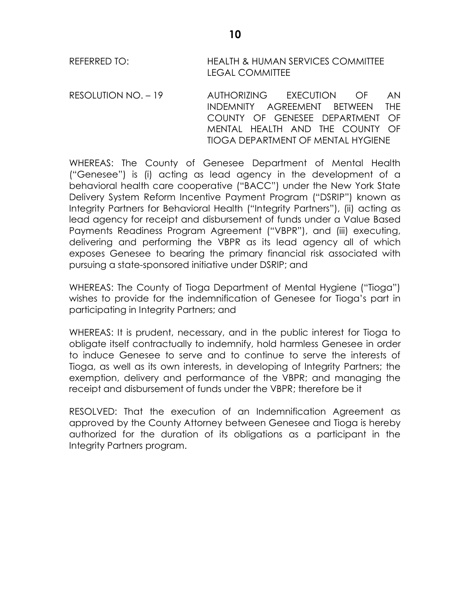REFERRED TO: HEALTH & HUMAN SERVICES COMMITTEE LEGAL COMMITTEE

RESOLUTION NO. – 19 AUTHORIZING EXECUTION OF AN INDEMNITY AGREEMENT BETWEEN THE COUNTY OF GENESEE DEPARTMENT OF MENTAL HEALTH AND THE COUNTY OF TIOGA DEPARTMENT OF MENTAL HYGIENE

WHEREAS: The County of Genesee Department of Mental Health ("Genesee") is (i) acting as lead agency in the development of a behavioral health care cooperative ("BACC") under the New York State Delivery System Reform Incentive Payment Program ("DSRIP") known as Integrity Partners for Behavioral Health ("Integrity Partners"), (ii) acting as lead agency for receipt and disbursement of funds under a Value Based Payments Readiness Program Agreement ("VBPR"), and (iii) executing, delivering and performing the VBPR as its lead agency all of which exposes Genesee to bearing the primary financial risk associated with pursuing a state-sponsored initiative under DSRIP; and

WHEREAS: The County of Tioga Department of Mental Hygiene ("Tioga") wishes to provide for the indemnification of Genesee for Tioga's part in participating in Integrity Partners; and

WHEREAS: It is prudent, necessary, and in the public interest for Tioga to obligate itself contractually to indemnify, hold harmless Genesee in order to induce Genesee to serve and to continue to serve the interests of Tioga, as well as its own interests, in developing of Integrity Partners; the exemption, delivery and performance of the VBPR; and managing the receipt and disbursement of funds under the VBPR; therefore be it

RESOLVED: That the execution of an Indemnification Agreement as approved by the County Attorney between Genesee and Tioga is hereby authorized for the duration of its obligations as a participant in the Integrity Partners program.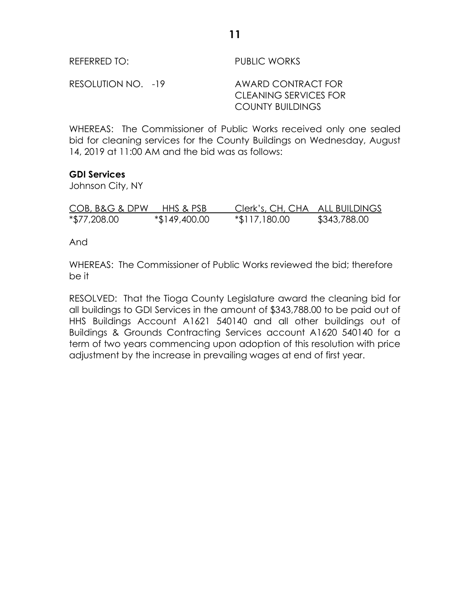REFERRED TO: PUBLIC WORKS

RESOLUTION NO. -19 AWARD CONTRACT FOR CLEANING SERVICES FOR COUNTY BUILDINGS

WHEREAS: The Commissioner of Public Works received only one sealed bid for cleaning services for the County Buildings on Wednesday, August 14, 2019 at 11:00 AM and the bid was as follows:

# **GDI Services**

Johnson City, NY

| COB, B&G & DPW | HHS & PSB     | Clerk's, CH, CHA ALL BUILDINGS |              |
|----------------|---------------|--------------------------------|--------------|
| *\$77,208.00   | *\$149,400.00 | *\$117,180.00                  | \$343,788.00 |

And

WHEREAS: The Commissioner of Public Works reviewed the bid; therefore be it

RESOLVED: That the Tioga County Legislature award the cleaning bid for all buildings to GDI Services in the amount of \$343,788.00 to be paid out of HHS Buildings Account A1621 540140 and all other buildings out of Buildings & Grounds Contracting Services account A1620 540140 for a term of two years commencing upon adoption of this resolution with price adjustment by the increase in prevailing wages at end of first year.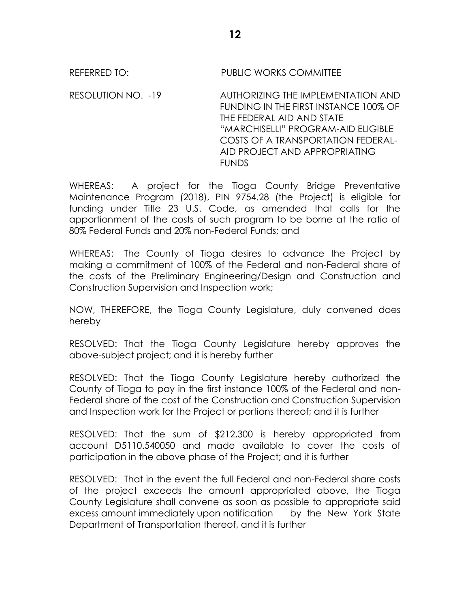REFERRED TO: PUBLIC WORKS COMMITTEE

RESOLUTION NO. -19 AUTHORIZING THE IMPLEMENTATION AND FUNDING IN THE FIRST INSTANCE 100% OF THE FEDERAL AID AND STATE "MARCHISELLI" PROGRAM-AID ELIGIBLE COSTS OF A TRANSPORTATION FEDERAL-AID PROJECT AND APPROPRIATING FUNDS

WHEREAS: A project for the Tioga County Bridge Preventative Maintenance Program (2018), PIN 9754.28 (the Project) is eligible for funding under Title 23 U.S. Code, as amended that calls for the apportionment of the costs of such program to be borne at the ratio of 80% Federal Funds and 20% non-Federal Funds; and

WHEREAS: The County of Tioga desires to advance the Project by making a commitment of 100% of the Federal and non-Federal share of the costs of the Preliminary Engineering/Design and Construction and Construction Supervision and Inspection work;

NOW, THEREFORE, the Tioga County Legislature, duly convened does hereby

RESOLVED: That the Tioga County Legislature hereby approves the above-subject project; and it is hereby further

RESOLVED: That the Tioga County Legislature hereby authorized the County of Tioga to pay in the first instance 100% of the Federal and non-Federal share of the cost of the Construction and Construction Supervision and Inspection work for the Project or portions thereof; and it is further

RESOLVED: That the sum of \$212,300 is hereby appropriated from account D5110.540050 and made available to cover the costs of participation in the above phase of the Project; and it is further

RESOLVED: That in the event the full Federal and non-Federal share costs of the project exceeds the amount appropriated above, the Tioga County Legislature shall convene as soon as possible to appropriate said excess amount immediately upon notification by the New York State Department of Transportation thereof, and it is further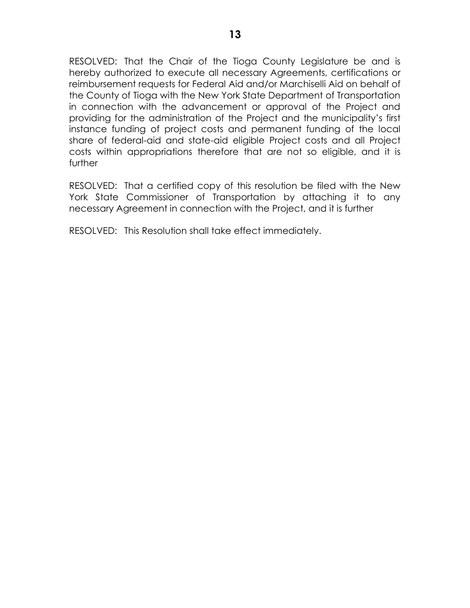RESOLVED: That the Chair of the Tioga County Legislature be and is hereby authorized to execute all necessary Agreements, certifications or reimbursement requests for Federal Aid and/or Marchiselli Aid on behalf of the County of Tioga with the New York State Department of Transportation in connection with the advancement or approval of the Project and providing for the administration of the Project and the municipality's first instance funding of project costs and permanent funding of the local share of federal-aid and state-aid eligible Project costs and all Project costs within appropriations therefore that are not so eligible, and it is further

RESOLVED: That a certified copy of this resolution be filed with the New York State Commissioner of Transportation by attaching it to any necessary Agreement in connection with the Project, and it is further

RESOLVED: This Resolution shall take effect immediately.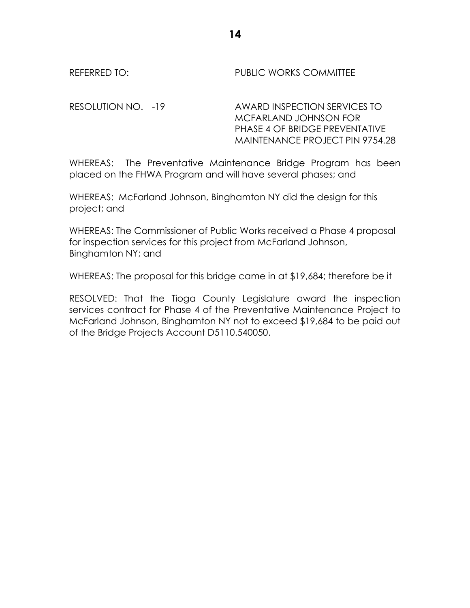REFERRED TO: The Second PUBLIC WORKS COMMITTEE

RESOLUTION NO. -19 AWARD INSPECTION SERVICES TO MCFARLAND JOHNSON FOR PHASE 4 OF BRIDGE PREVENTATIVE MAINTENANCE PROJECT PIN 9754.28

WHEREAS: The Preventative Maintenance Bridge Program has been placed on the FHWA Program and will have several phases; and

WHEREAS: McFarland Johnson, Binghamton NY did the design for this project; and

WHEREAS: The Commissioner of Public Works received a Phase 4 proposal for inspection services for this project from McFarland Johnson, Binghamton NY; and

WHEREAS: The proposal for this bridge came in at \$19,684; therefore be it

RESOLVED: That the Tioga County Legislature award the inspection services contract for Phase 4 of the Preventative Maintenance Project to McFarland Johnson, Binghamton NY not to exceed \$19,684 to be paid out of the Bridge Projects Account D5110.540050.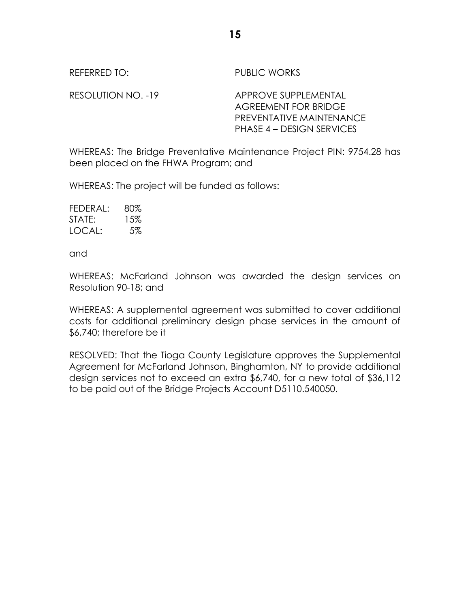REFERRED TO: PUBLIC WORKS

RESOLUTION NO. -19 APPROVE SUPPLEMENTAL AGREEMENT FOR BRIDGE PREVENTATIVE MAINTENANCE PHASE 4 – DESIGN SERVICES

WHEREAS: The Bridge Preventative Maintenance Project PIN: 9754.28 has been placed on the FHWA Program; and

WHEREAS: The project will be funded as follows:

| FEDERAL: | 80% |
|----------|-----|
| STATE:   | 15% |
| LOCAL:   | 5%  |

and

WHEREAS: McFarland Johnson was awarded the design services on Resolution 90-18; and

WHEREAS: A supplemental agreement was submitted to cover additional costs for additional preliminary design phase services in the amount of \$6,740; therefore be it

RESOLVED: That the Tioga County Legislature approves the Supplemental Agreement for McFarland Johnson, Binghamton, NY to provide additional design services not to exceed an extra \$6,740, for a new total of \$36,112 to be paid out of the Bridge Projects Account D5110.540050.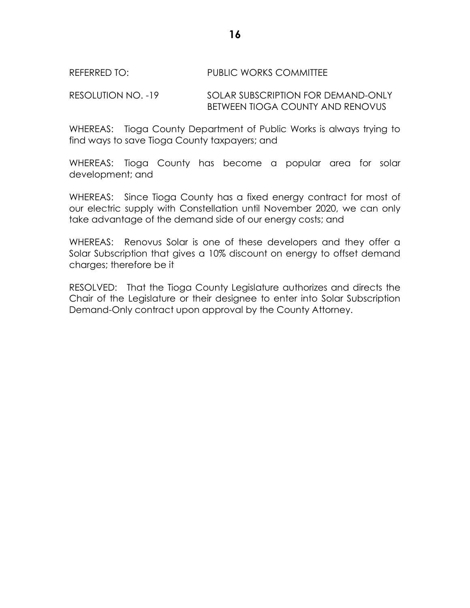## REFERRED TO: PUBLIC WORKS COMMITTEE

RESOLUTION NO. -19 SOLAR SUBSCRIPTION FOR DEMAND-ONLY BETWEEN TIOGA COUNTY AND RENOVUS

WHEREAS: Tioga County Department of Public Works is always trying to find ways to save Tioga County taxpayers; and

WHEREAS: Tioga County has become a popular area for solar development; and

WHEREAS: Since Tioga County has a fixed energy contract for most of our electric supply with Constellation until November 2020, we can only take advantage of the demand side of our energy costs; and

WHEREAS: Renovus Solar is one of these developers and they offer a Solar Subscription that gives a 10% discount on energy to offset demand charges; therefore be it

RESOLVED: That the Tioga County Legislature authorizes and directs the Chair of the Legislature or their designee to enter into Solar Subscription Demand-Only contract upon approval by the County Attorney.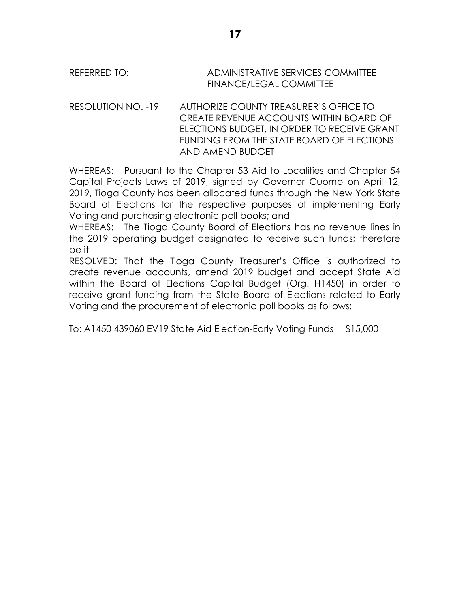# REFERRED TO: ADMINISTRATIVE SERVICES COMMITTEE FINANCE/LEGAL COMMITTEE

RESOLUTION NO. -19 AUTHORIZE COUNTY TREASURER'S OFFICE TO CREATE REVENUE ACCOUNTS WITHIN BOARD OF ELECTIONS BUDGET, IN ORDER TO RECEIVE GRANT FUNDING FROM THE STATE BOARD OF ELECTIONS AND AMEND BUDGET

WHEREAS: Pursuant to the Chapter 53 Aid to Localities and Chapter 54 Capital Projects Laws of 2019, signed by Governor Cuomo on April 12, 2019, Tioga County has been allocated funds through the New York State Board of Elections for the respective purposes of implementing Early Voting and purchasing electronic poll books; and

WHEREAS: The Tioga County Board of Elections has no revenue lines in the 2019 operating budget designated to receive such funds; therefore be it

RESOLVED: That the Tioga County Treasurer's Office is authorized to create revenue accounts, amend 2019 budget and accept State Aid within the Board of Elections Capital Budget (Org. H1450) in order to receive grant funding from the State Board of Elections related to Early Voting and the procurement of electronic poll books as follows:

To: A1450 439060 EV19 State Aid Election-Early Voting Funds \$15,000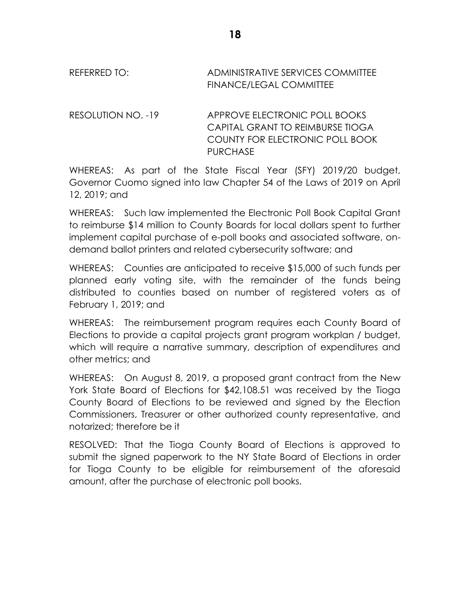# REFERRED TO: ADMINISTRATIVE SERVICES COMMITTEE FINANCE/LEGAL COMMITTEE

RESOLUTION NO. -19 APPROVE ELECTRONIC POLL BOOKS CAPITAL GRANT TO REIMBURSE TIOGA COUNTY FOR ELECTRONIC POLL BOOK **PURCHASE** 

WHEREAS: As part of the State Fiscal Year (SFY) 2019/20 budget, Governor Cuomo signed into law Chapter 54 of the Laws of 2019 on April 12, 2019; and

WHEREAS: Such law implemented the Electronic Poll Book Capital Grant to reimburse \$14 million to County Boards for local dollars spent to further implement capital purchase of e-poll books and associated software, ondemand ballot printers and related cybersecurity software; and

WHEREAS: Counties are anticipated to receive \$15,000 of such funds per planned early voting site, with the remainder of the funds being distributed to counties based on number of registered voters as of February 1, 2019; and

WHEREAS: The reimbursement program requires each County Board of Elections to provide a capital projects grant program workplan / budget, which will require a narrative summary, description of expenditures and other metrics; and

WHEREAS: On August 8, 2019, a proposed grant contract from the New York State Board of Elections for \$42,108.51 was received by the Tioga County Board of Elections to be reviewed and signed by the Election Commissioners, Treasurer or other authorized county representative, and notarized; therefore be it

RESOLVED: That the Tioga County Board of Elections is approved to submit the signed paperwork to the NY State Board of Elections in order for Tioga County to be eligible for reimbursement of the aforesaid amount, after the purchase of electronic poll books.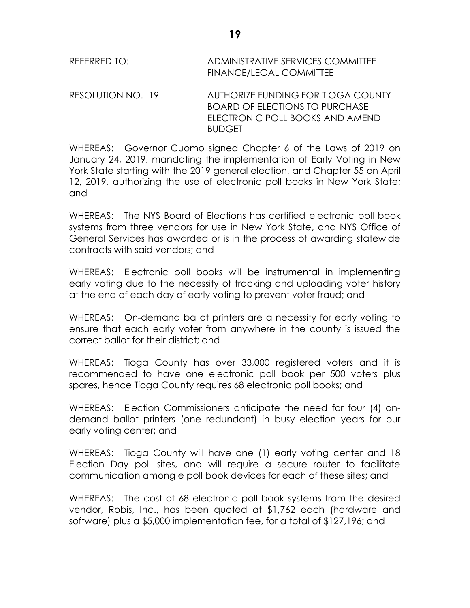| REFERRED TO: | ADMINISTRATIVE SERVICES COMMITTEE |
|--------------|-----------------------------------|
|              | FINANCE/LEGAL COMMITTEE           |

RESOLUTION NO. -19 AUTHORIZE FUNDING FOR TIOGA COUNTY BOARD OF ELECTIONS TO PURCHASE ELECTRONIC POLL BOOKS AND AMEND BUDGET

WHEREAS: Governor Cuomo signed Chapter 6 of the Laws of 2019 on January 24, 2019, mandating the implementation of Early Voting in New York State starting with the 2019 general election, and Chapter 55 on April 12, 2019, authorizing the use of electronic poll books in New York State; and

WHEREAS: The NYS Board of Elections has certified electronic poll book systems from three vendors for use in New York State, and NYS Office of General Services has awarded or is in the process of awarding statewide contracts with said vendors; and

WHEREAS: Electronic poll books will be instrumental in implementing early voting due to the necessity of tracking and uploading voter history at the end of each day of early voting to prevent voter fraud; and

WHEREAS: On-demand ballot printers are a necessity for early voting to ensure that each early voter from anywhere in the county is issued the correct ballot for their district; and

WHEREAS: Tioga County has over 33,000 registered voters and it is recommended to have one electronic poll book per 500 voters plus spares, hence Tioga County requires 68 electronic poll books; and

WHEREAS: Election Commissioners anticipate the need for four (4) ondemand ballot printers (one redundant) in busy election years for our early voting center; and

WHEREAS: Tioga County will have one (1) early voting center and 18 Election Day poll sites, and will require a secure router to facilitate communication among e poll book devices for each of these sites; and

WHEREAS: The cost of 68 electronic poll book systems from the desired vendor, Robis, Inc., has been quoted at \$1,762 each (hardware and software) plus a \$5,000 implementation fee, for a total of \$127,196; and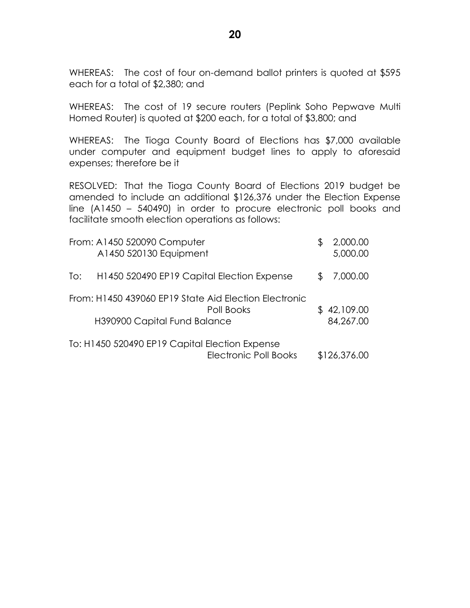WHEREAS: The cost of four on-demand ballot printers is quoted at \$595 each for a total of \$2,380; and

WHEREAS: The cost of 19 secure routers (Peplink Soho Pepwave Multi Homed Router) is quoted at \$200 each, for a total of \$3,800; and

WHEREAS: The Tioga County Board of Elections has \$7,000 available under computer and equipment budget lines to apply to aforesaid expenses; therefore be it

RESOLVED: That the Tioga County Board of Elections 2019 budget be amended to include an additional \$126,376 under the Election Expense line (A1450 – 540490) in order to procure electronic poll books and facilitate smooth election operations as follows:

|     | From: A1450 520090 Computer<br>A1450 520130 Equipment                                               | 2,000.00<br>5,000.00     |
|-----|-----------------------------------------------------------------------------------------------------|--------------------------|
| To: | H1450 520490 EP19 Capital Election Expense                                                          | 7,000.00                 |
|     | From: H1450 439060 EP19 State Aid Election Electronic<br>Poll Books<br>H390900 Capital Fund Balance | \$42,109.00<br>84,267.00 |
|     | To: H1450 520490 EP19 Capital Election Expense<br>Electronic Poll Books                             | \$126,376.00             |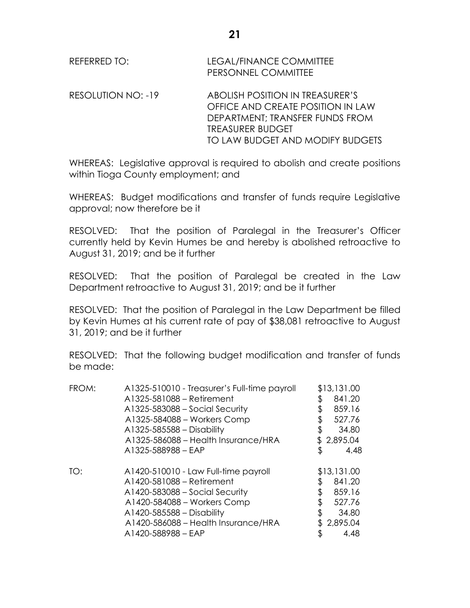RESOLUTION NO: -19 ABOLISH POSITION IN TREASURER'S OFFICE AND CREATE POSITION IN LAW DEPARTMENT; TRANSFER FUNDS FROM TREASURER BUDGET TO LAW BUDGET AND MODIFY BUDGETS

WHEREAS: Legislative approval is required to abolish and create positions within Tioga County employment; and

WHEREAS: Budget modifications and transfer of funds require Legislative approval; now therefore be it

RESOLVED: That the position of Paralegal in the Treasurer's Officer currently held by Kevin Humes be and hereby is abolished retroactive to August 31, 2019; and be it further

RESOLVED: That the position of Paralegal be created in the Law Department retroactive to August 31, 2019; and be it further

RESOLVED: That the position of Paralegal in the Law Department be filled by Kevin Humes at his current rate of pay of \$38,081 retroactive to August 31, 2019; and be it further

RESOLVED: That the following budget modification and transfer of funds be made:

| FROM: | A1325-510010 - Treasurer's Full-time payroll | \$13,131.00 |
|-------|----------------------------------------------|-------------|
|       | A1325-581088 - Retirement                    | 841.20      |
|       | A1325-583088 - Social Security               | 859.16      |
|       | A1325-584088 - Workers Comp                  | 527.76      |
|       | A1325-585588 - Disability                    | 34.80<br>\$ |
|       | A1325-586088 - Health Insurance/HRA          | \$2,895.04  |
|       | A1325-588988 - EAP                           | 4.48<br>\$  |
| TO:   | A1420-510010 - Law Full-time payroll         | \$13,131.00 |
|       | A1420-581088 - Retirement                    | 841.20      |
|       | $A1420-583088 - Social Security$             | 859.16      |
|       | A1420-584088 - Workers Comp                  | 527.76      |
|       | A1420-585588 - Disability                    | 34.80<br>\$ |
|       | A1420-586088 - Health Insurance/HRA          | \$2,895.04  |
|       | A1420-588988 - EAP                           | 4.48<br>\$  |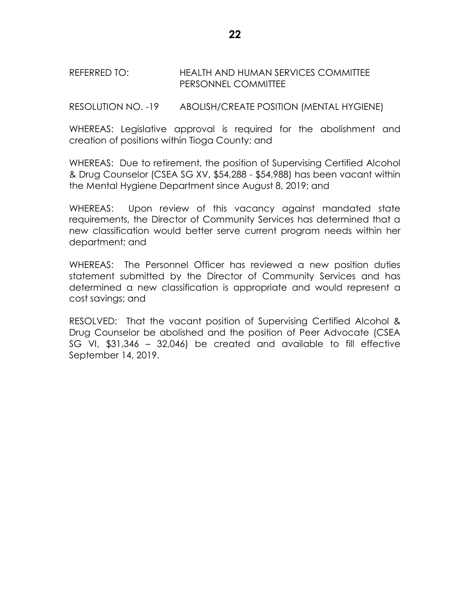## REFERRED TO: HEALTH AND HUMAN SERVICES COMMITTEE PERSONNEL COMMITTEE

RESOLUTION NO. -19 ABOLISH/CREATE POSITION (MENTAL HYGIENE)

WHEREAS: Legislative approval is required for the abolishment and creation of positions within Tioga County; and

WHEREAS: Due to retirement, the position of Supervising Certified Alcohol & Drug Counselor (CSEA SG XV, \$54,288 - \$54,988) has been vacant within the Mental Hygiene Department since August 8, 2019; and

WHEREAS: Upon review of this vacancy against mandated state requirements, the Director of Community Services has determined that a new classification would better serve current program needs within her department; and

WHEREAS: The Personnel Officer has reviewed a new position duties statement submitted by the Director of Community Services and has determined a new classification is appropriate and would represent a cost savings; and

RESOLVED: That the vacant position of Supervising Certified Alcohol & Drug Counselor be abolished and the position of Peer Advocate (CSEA SG VI, \$31,346 – 32,046) be created and available to fill effective September 14, 2019.